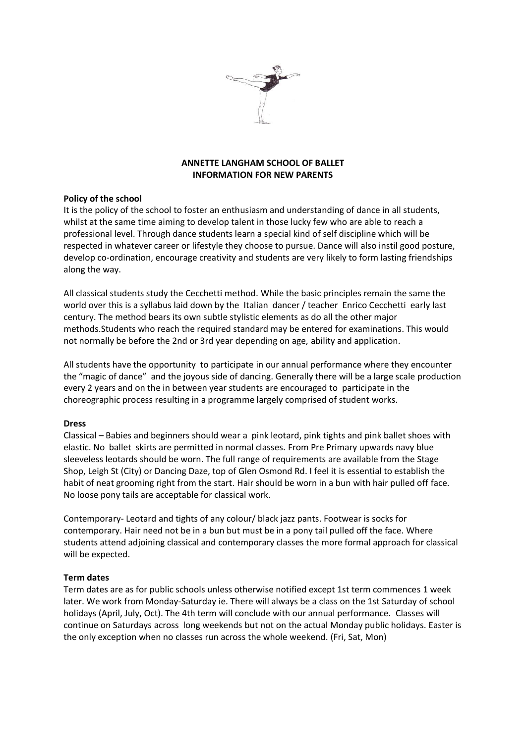

# **ANNETTE LANGHAM SCHOOL OF BALLET INFORMATION FOR NEW PARENTS**

### **Policy of the school**

It is the policy of the school to foster an enthusiasm and understanding of dance in all students, whilst at the same time aiming to develop talent in those lucky few who are able to reach a professional level. Through dance students learn a special kind of self discipline which will be respected in whatever career or lifestyle they choose to pursue. Dance will also instil good posture, develop co-ordination, encourage creativity and students are very likely to form lasting friendships along the way.

All classical students study the Cecchetti method. While the basic principles remain the same the world over this is a syllabus laid down by the Italian dancer / teacher Enrico Cecchetti early last century. The method bears its own subtle stylistic elements as do all the other major methods.Students who reach the required standard may be entered for examinations. This would not normally be before the 2nd or 3rd year depending on age, ability and application.

All students have the opportunity to participate in our annual performance where they encounter the "magic of dance" and the joyous side of dancing. Generally there will be a large scale production every 2 years and on the in between year students are encouraged to participate in the choreographic process resulting in a programme largely comprised of student works.

### **Dress**

Classical – Babies and beginners should wear a pink leotard, pink tights and pink ballet shoes with elastic. No ballet skirts are permitted in normal classes. From Pre Primary upwards navy blue sleeveless leotards should be worn. The full range of requirements are available from the Stage Shop, Leigh St (City) or Dancing Daze, top of Glen Osmond Rd. I feel it is essential to establish the habit of neat grooming right from the start. Hair should be worn in a bun with hair pulled off face. No loose pony tails are acceptable for classical work.

Contemporary- Leotard and tights of any colour/ black jazz pants. Footwear is socks for contemporary. Hair need not be in a bun but must be in a pony tail pulled off the face. Where students attend adjoining classical and contemporary classes the more formal approach for classical will be expected.

### **Term dates**

Term dates are as for public schools unless otherwise notified except 1st term commences 1 week later. We work from Monday-Saturday ie. There will always be a class on the 1st Saturday of school holidays (April, July, Oct). The 4th term will conclude with our annual performance. Classes will continue on Saturdays across long weekends but not on the actual Monday public holidays. Easter is the only exception when no classes run across the whole weekend. (Fri, Sat, Mon)